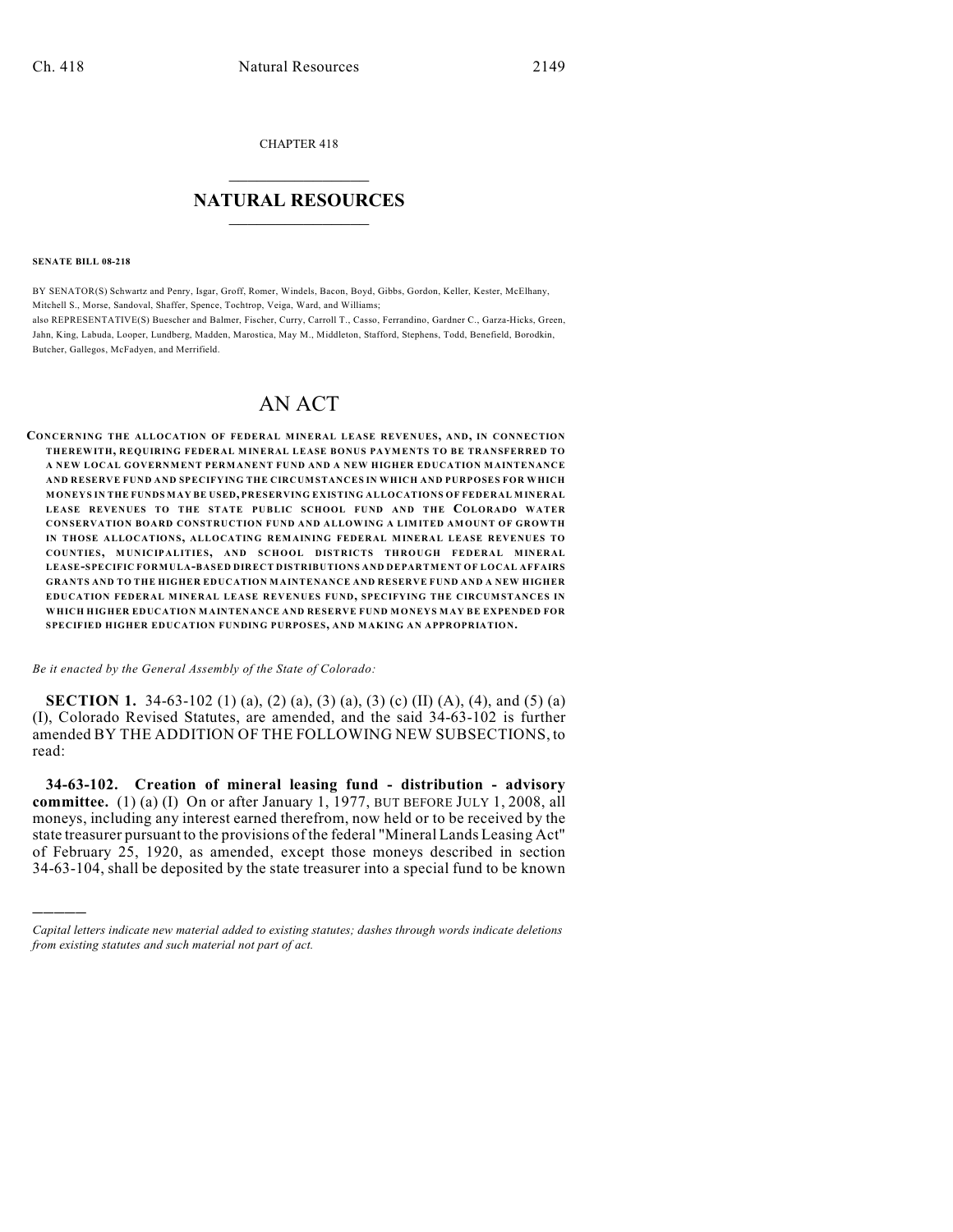CHAPTER 418

## $\overline{\phantom{a}}$  . The set of the set of the set of the set of the set of the set of the set of the set of the set of the set of the set of the set of the set of the set of the set of the set of the set of the set of the set o **NATURAL RESOURCES**  $\frac{1}{\sqrt{2}}$  , where  $\frac{1}{\sqrt{2}}$  ,  $\frac{1}{\sqrt{2}}$  ,  $\frac{1}{\sqrt{2}}$

**SENATE BILL 08-218**

)))))

BY SENATOR(S) Schwartz and Penry, Isgar, Groff, Romer, Windels, Bacon, Boyd, Gibbs, Gordon, Keller, Kester, McElhany, Mitchell S., Morse, Sandoval, Shaffer, Spence, Tochtrop, Veiga, Ward, and Williams; also REPRESENTATIVE(S) Buescher and Balmer, Fischer, Curry, Carroll T., Casso, Ferrandino, Gardner C., Garza-Hicks, Green, Jahn, King, Labuda, Looper, Lundberg, Madden, Marostica, May M., Middleton, Stafford, Stephens, Todd, Benefield, Borodkin, Butcher, Gallegos, McFadyen, and Merrifield.

# AN ACT

**CONCERNING THE ALLOCATION OF FEDERAL MINERAL LEASE REVENUES, AND, IN CONNECTION THEREWITH, REQUIRING FEDERAL MINERAL LEASE BONUS PAYMENTS TO BE TRANSFERRED TO A NEW LOCAL GOVERNMENT PERMANENT FUND AND A NEW HIGHER EDUCATION MAINTENANCE AND RESERVE FUND AND SPECIFYING THE CIRCUMSTANCES IN WHICH AND PURPOSES FOR WHICH MONEYS IN THE FUNDS MAY BE USED, PRESERVING EXISTING ALLOCATIONS OF FEDERAL MINERAL LEASE REVENUES TO THE STATE PUBLIC SCHOOL FUND AND THE COLORADO WATER CONSERVATION BOARD CONSTRUCTION FUND AND ALLOWING A LIMITED AMOUNT OF GROWTH IN THOSE ALLOCATIONS, ALLOCATING REMAINING FEDERAL MINERAL LEASE REVENUES TO COUNTIES, M UNICIPALITIES, AND SCHOOL DISTRICTS THROUGH FEDERAL MINERAL LEASE-SPECIFIC FORMULA-BASED DIRECT DISTRIBUTIONS AND DEPARTMENT OF LOCAL AFFAIRS GRANTS AND TO THE HIGHER EDUCATION MAINTENANCE AND RESERVE FUND AND A NEW HIGHER EDUCATION FEDERAL MINERAL LEASE REVENUES FUND, SPECIFYING THE CIRCUMSTANCES IN WHICH HIGHER EDUCATION MAINTENANCE AND RESERVE FUND M ONEYS MAY BE EXPENDED FOR SPECIFIED HIGHER EDUCATION FUNDING PURPOSES, AND MAKING AN APPROPRIATION.**

*Be it enacted by the General Assembly of the State of Colorado:*

**SECTION 1.** 34-63-102 (1) (a), (2) (a), (3) (a), (3) (c) (II) (A), (4), and (5) (a) (I), Colorado Revised Statutes, are amended, and the said 34-63-102 is further amended BY THE ADDITION OF THE FOLLOWING NEW SUBSECTIONS, to read:

**34-63-102. Creation of mineral leasing fund - distribution - advisory committee.** (1) (a) (I) On or after January 1, 1977, BUT BEFORE JULY 1, 2008, all moneys, including any interest earned therefrom, now held or to be received by the state treasurer pursuant to the provisions of the federal "Mineral Lands Leasing Act" of February 25, 1920, as amended, except those moneys described in section 34-63-104, shall be deposited by the state treasurer into a special fund to be known

*Capital letters indicate new material added to existing statutes; dashes through words indicate deletions from existing statutes and such material not part of act.*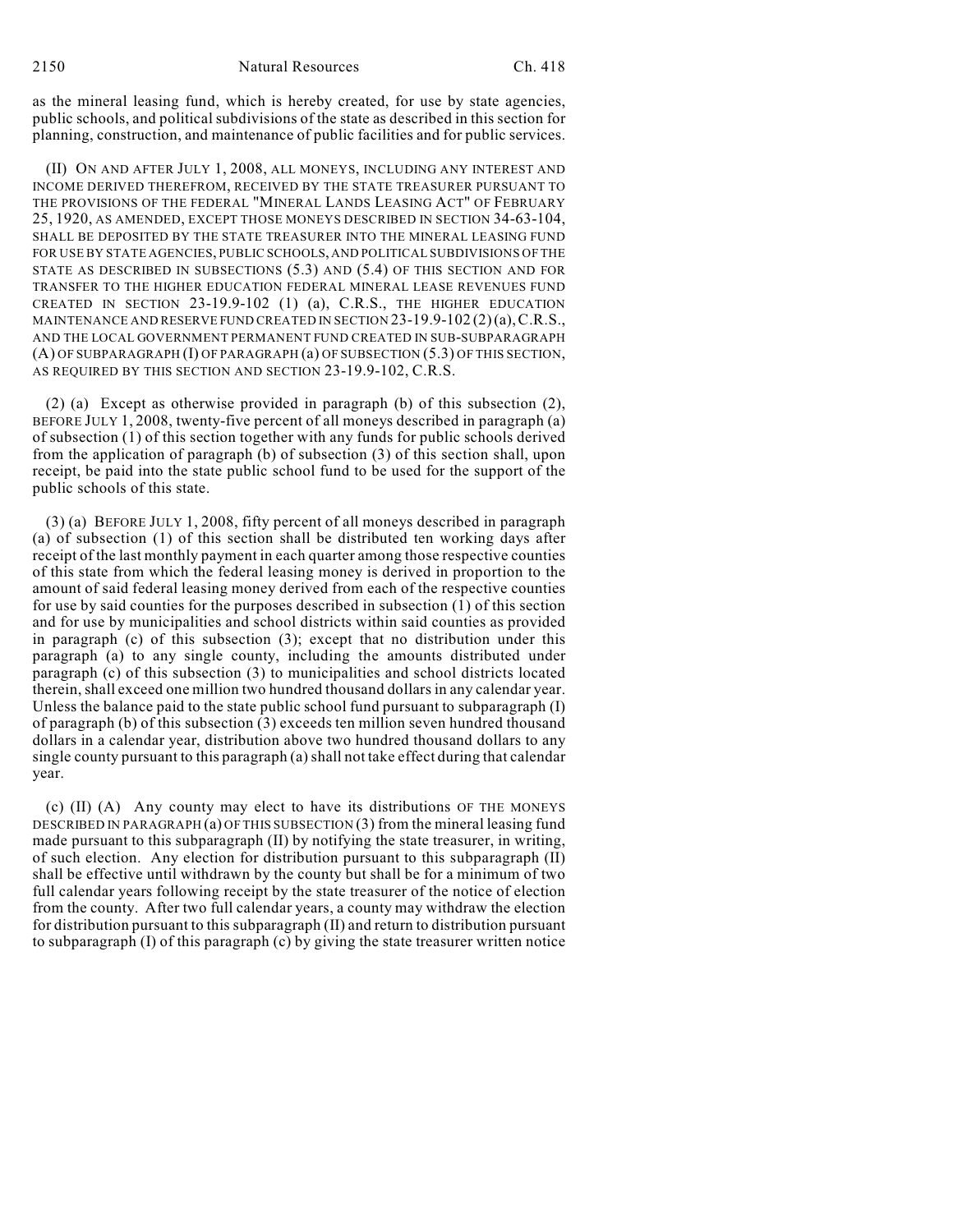as the mineral leasing fund, which is hereby created, for use by state agencies, public schools, and political subdivisions of the state as described in this section for planning, construction, and maintenance of public facilities and for public services.

(II) ON AND AFTER JULY 1, 2008, ALL MONEYS, INCLUDING ANY INTEREST AND INCOME DERIVED THEREFROM, RECEIVED BY THE STATE TREASURER PURSUANT TO THE PROVISIONS OF THE FEDERAL "MINERAL LANDS LEASING ACT" OF FEBRUARY 25, 1920, AS AMENDED, EXCEPT THOSE MONEYS DESCRIBED IN SECTION 34-63-104, SHALL BE DEPOSITED BY THE STATE TREASURER INTO THE MINERAL LEASING FUND FOR USE BY STATE AGENCIES, PUBLIC SCHOOLS, AND POLITICAL SUBDIVISIONS OF THE STATE AS DESCRIBED IN SUBSECTIONS (5.3) AND (5.4) OF THIS SECTION AND FOR TRANSFER TO THE HIGHER EDUCATION FEDERAL MINERAL LEASE REVENUES FUND CREATED IN SECTION 23-19.9-102 (1) (a), C.R.S., THE HIGHER EDUCATION MAINTENANCE AND RESERVE FUND CREATED IN SECTION 23-19.9-102 (2)(a),C.R.S., AND THE LOCAL GOVERNMENT PERMANENT FUND CREATED IN SUB-SUBPARAGRAPH (A) OF SUBPARAGRAPH (I) OF PARAGRAPH (a) OF SUBSECTION (5.3) OF THIS SECTION, AS REQUIRED BY THIS SECTION AND SECTION 23-19.9-102, C.R.S.

(2) (a) Except as otherwise provided in paragraph (b) of this subsection (2), BEFORE JULY 1, 2008, twenty-five percent of all moneys described in paragraph (a) of subsection (1) of this section together with any funds for public schools derived from the application of paragraph (b) of subsection (3) of this section shall, upon receipt, be paid into the state public school fund to be used for the support of the public schools of this state.

(3) (a) BEFORE JULY 1, 2008, fifty percent of all moneys described in paragraph (a) of subsection (1) of this section shall be distributed ten working days after receipt of the last monthly payment in each quarter among those respective counties of this state from which the federal leasing money is derived in proportion to the amount of said federal leasing money derived from each of the respective counties for use by said counties for the purposes described in subsection (1) of this section and for use by municipalities and school districts within said counties as provided in paragraph (c) of this subsection (3); except that no distribution under this paragraph (a) to any single county, including the amounts distributed under paragraph (c) of this subsection (3) to municipalities and school districts located therein, shall exceed one million two hundred thousand dollars in any calendar year. Unless the balance paid to the state public school fund pursuant to subparagraph (I) of paragraph (b) of this subsection (3) exceeds ten million seven hundred thousand dollars in a calendar year, distribution above two hundred thousand dollars to any single county pursuant to this paragraph (a) shall not take effect during that calendar year.

(c) (II) (A) Any county may elect to have its distributions OF THE MONEYS DESCRIBED IN PARAGRAPH (a) OF THIS SUBSECTION (3) from the mineral leasing fund made pursuant to this subparagraph (II) by notifying the state treasurer, in writing, of such election. Any election for distribution pursuant to this subparagraph (II) shall be effective until withdrawn by the county but shall be for a minimum of two full calendar years following receipt by the state treasurer of the notice of election from the county. After two full calendar years, a county may withdraw the election for distribution pursuant to this subparagraph (II) and return to distribution pursuant to subparagraph (I) of this paragraph (c) by giving the state treasurer written notice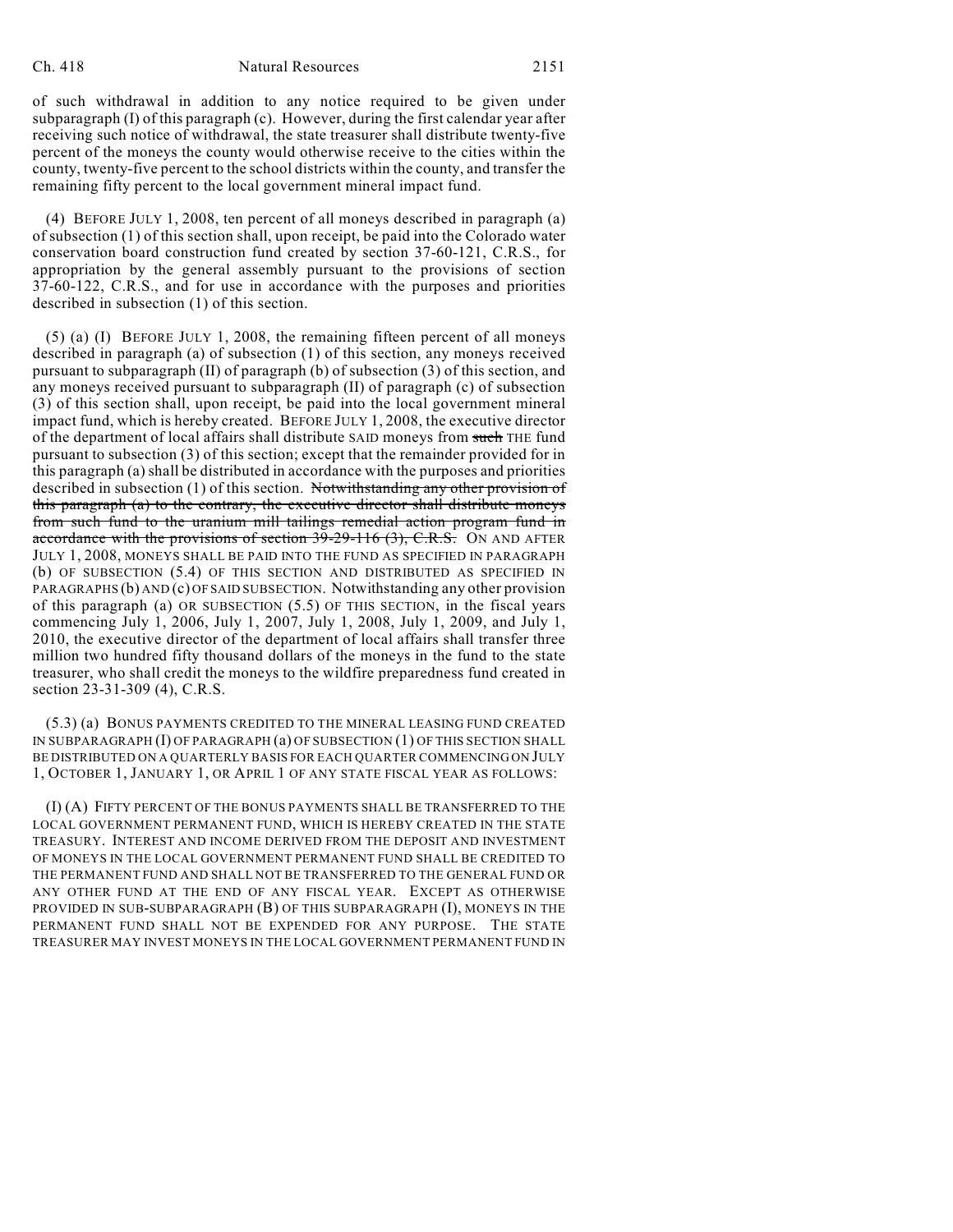#### Ch. 418 Natural Resources 2151

of such withdrawal in addition to any notice required to be given under subparagraph (I) of this paragraph (c). However, during the first calendar year after receiving such notice of withdrawal, the state treasurer shall distribute twenty-five percent of the moneys the county would otherwise receive to the cities within the county, twenty-five percent to the school districts within the county, and transfer the remaining fifty percent to the local government mineral impact fund.

(4) BEFORE JULY 1, 2008, ten percent of all moneys described in paragraph (a) of subsection (1) of this section shall, upon receipt, be paid into the Colorado water conservation board construction fund created by section 37-60-121, C.R.S., for appropriation by the general assembly pursuant to the provisions of section 37-60-122, C.R.S., and for use in accordance with the purposes and priorities described in subsection (1) of this section.

(5) (a) (I) BEFORE JULY 1, 2008, the remaining fifteen percent of all moneys described in paragraph (a) of subsection (1) of this section, any moneys received pursuant to subparagraph (II) of paragraph (b) of subsection (3) of this section, and any moneys received pursuant to subparagraph (II) of paragraph (c) of subsection (3) of this section shall, upon receipt, be paid into the local government mineral impact fund, which is hereby created. BEFORE JULY 1, 2008, the executive director of the department of local affairs shall distribute SAID moneys from such THE fund pursuant to subsection (3) of this section; except that the remainder provided for in this paragraph (a) shall be distributed in accordance with the purposes and priorities described in subsection (1) of this section. Notwithstanding any other provision of this paragraph (a) to the contrary, the executive director shall distribute moneys from such fund to the uranium mill tailings remedial action program fund in accordance with the provisions of section  $39-29-116$  (3), C.R.S. ON AND AFTER JULY 1, 2008, MONEYS SHALL BE PAID INTO THE FUND AS SPECIFIED IN PARAGRAPH (b) OF SUBSECTION (5.4) OF THIS SECTION AND DISTRIBUTED AS SPECIFIED IN PARAGRAPHS (b) AND (c) OF SAID SUBSECTION. Notwithstanding any other provision of this paragraph (a) OR SUBSECTION (5.5) OF THIS SECTION, in the fiscal years commencing July 1, 2006, July 1, 2007, July 1, 2008, July 1, 2009, and July 1, 2010, the executive director of the department of local affairs shall transfer three million two hundred fifty thousand dollars of the moneys in the fund to the state treasurer, who shall credit the moneys to the wildfire preparedness fund created in section 23-31-309 (4), C.R.S.

(5.3) (a) BONUS PAYMENTS CREDITED TO THE MINERAL LEASING FUND CREATED IN SUBPARAGRAPH (I) OF PARAGRAPH (a) OF SUBSECTION (1) OF THIS SECTION SHALL BE DISTRIBUTED ON A QUARTERLY BASIS FOR EACH QUARTER COMMENCING ON JULY 1, OCTOBER 1, JANUARY 1, OR APRIL 1 OF ANY STATE FISCAL YEAR AS FOLLOWS:

(I) (A) FIFTY PERCENT OF THE BONUS PAYMENTS SHALL BE TRANSFERRED TO THE LOCAL GOVERNMENT PERMANENT FUND, WHICH IS HEREBY CREATED IN THE STATE TREASURY. INTEREST AND INCOME DERIVED FROM THE DEPOSIT AND INVESTMENT OF MONEYS IN THE LOCAL GOVERNMENT PERMANENT FUND SHALL BE CREDITED TO THE PERMANENT FUND AND SHALL NOT BE TRANSFERRED TO THE GENERAL FUND OR ANY OTHER FUND AT THE END OF ANY FISCAL YEAR. EXCEPT AS OTHERWISE PROVIDED IN SUB-SUBPARAGRAPH (B) OF THIS SUBPARAGRAPH (I), MONEYS IN THE PERMANENT FUND SHALL NOT BE EXPENDED FOR ANY PURPOSE. THE STATE TREASURER MAY INVEST MONEYS IN THE LOCAL GOVERNMENT PERMANENT FUND IN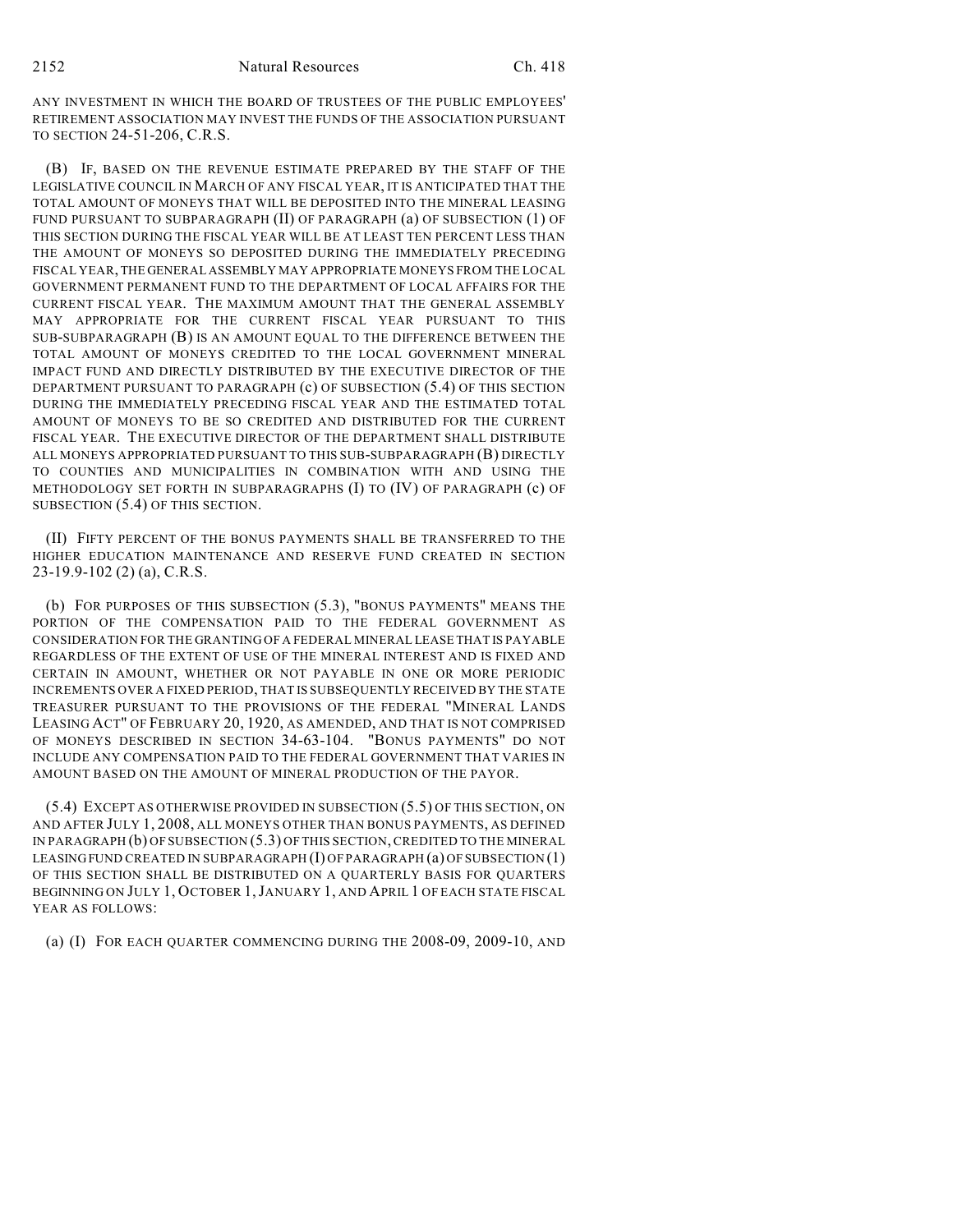ANY INVESTMENT IN WHICH THE BOARD OF TRUSTEES OF THE PUBLIC EMPLOYEES' RETIREMENT ASSOCIATION MAY INVEST THE FUNDS OF THE ASSOCIATION PURSUANT TO SECTION 24-51-206, C.R.S.

(B) IF, BASED ON THE REVENUE ESTIMATE PREPARED BY THE STAFF OF THE LEGISLATIVE COUNCIL IN MARCH OF ANY FISCAL YEAR, IT IS ANTICIPATED THAT THE TOTAL AMOUNT OF MONEYS THAT WILL BE DEPOSITED INTO THE MINERAL LEASING FUND PURSUANT TO SUBPARAGRAPH (II) OF PARAGRAPH (a) OF SUBSECTION (1) OF THIS SECTION DURING THE FISCAL YEAR WILL BE AT LEAST TEN PERCENT LESS THAN THE AMOUNT OF MONEYS SO DEPOSITED DURING THE IMMEDIATELY PRECEDING FISCAL YEAR, THE GENERAL ASSEMBLY MAY APPROPRIATE MONEYS FROM THE LOCAL GOVERNMENT PERMANENT FUND TO THE DEPARTMENT OF LOCAL AFFAIRS FOR THE CURRENT FISCAL YEAR. THE MAXIMUM AMOUNT THAT THE GENERAL ASSEMBLY MAY APPROPRIATE FOR THE CURRENT FISCAL YEAR PURSUANT TO THIS SUB-SUBPARAGRAPH (B) IS AN AMOUNT EQUAL TO THE DIFFERENCE BETWEEN THE TOTAL AMOUNT OF MONEYS CREDITED TO THE LOCAL GOVERNMENT MINERAL IMPACT FUND AND DIRECTLY DISTRIBUTED BY THE EXECUTIVE DIRECTOR OF THE DEPARTMENT PURSUANT TO PARAGRAPH (c) OF SUBSECTION (5.4) OF THIS SECTION DURING THE IMMEDIATELY PRECEDING FISCAL YEAR AND THE ESTIMATED TOTAL AMOUNT OF MONEYS TO BE SO CREDITED AND DISTRIBUTED FOR THE CURRENT FISCAL YEAR. THE EXECUTIVE DIRECTOR OF THE DEPARTMENT SHALL DISTRIBUTE ALL MONEYS APPROPRIATED PURSUANT TO THIS SUB-SUBPARAGRAPH (B) DIRECTLY TO COUNTIES AND MUNICIPALITIES IN COMBINATION WITH AND USING THE METHODOLOGY SET FORTH IN SUBPARAGRAPHS (I) TO (IV) OF PARAGRAPH (c) OF SUBSECTION (5.4) OF THIS SECTION.

(II) FIFTY PERCENT OF THE BONUS PAYMENTS SHALL BE TRANSFERRED TO THE HIGHER EDUCATION MAINTENANCE AND RESERVE FUND CREATED IN SECTION 23-19.9-102 (2) (a), C.R.S.

(b) FOR PURPOSES OF THIS SUBSECTION (5.3), "BONUS PAYMENTS" MEANS THE PORTION OF THE COMPENSATION PAID TO THE FEDERAL GOVERNMENT AS CONSIDERATION FOR THE GRANTING OF A FEDERAL MINERAL LEASE THAT IS PAYABLE REGARDLESS OF THE EXTENT OF USE OF THE MINERAL INTEREST AND IS FIXED AND CERTAIN IN AMOUNT, WHETHER OR NOT PAYABLE IN ONE OR MORE PERIODIC INCREMENTS OVER A FIXED PERIOD, THAT IS SUBSEQUENTLY RECEIVED BY THE STATE TREASURER PURSUANT TO THE PROVISIONS OF THE FEDERAL "MINERAL LANDS LEASING ACT" OF FEBRUARY 20, 1920, AS AMENDED, AND THAT IS NOT COMPRISED OF MONEYS DESCRIBED IN SECTION 34-63-104. "BONUS PAYMENTS" DO NOT INCLUDE ANY COMPENSATION PAID TO THE FEDERAL GOVERNMENT THAT VARIES IN AMOUNT BASED ON THE AMOUNT OF MINERAL PRODUCTION OF THE PAYOR.

(5.4) EXCEPT AS OTHERWISE PROVIDED IN SUBSECTION (5.5) OF THIS SECTION, ON AND AFTER JULY 1, 2008, ALL MONEYS OTHER THAN BONUS PAYMENTS, AS DEFINED IN PARAGRAPH (b) OF SUBSECTION (5.3) OF THIS SECTION, CREDITED TO THE MINERAL LEASING FUND CREATED IN SUBPARAGRAPH (I) OF PARAGRAPH (a) OF SUBSECTION (1) OF THIS SECTION SHALL BE DISTRIBUTED ON A QUARTERLY BASIS FOR QUARTERS BEGINNING ON JULY 1, OCTOBER 1,JANUARY 1, AND APRIL 1 OF EACH STATE FISCAL YEAR AS FOLLOWS:

(a) (I) FOR EACH QUARTER COMMENCING DURING THE 2008-09, 2009-10, AND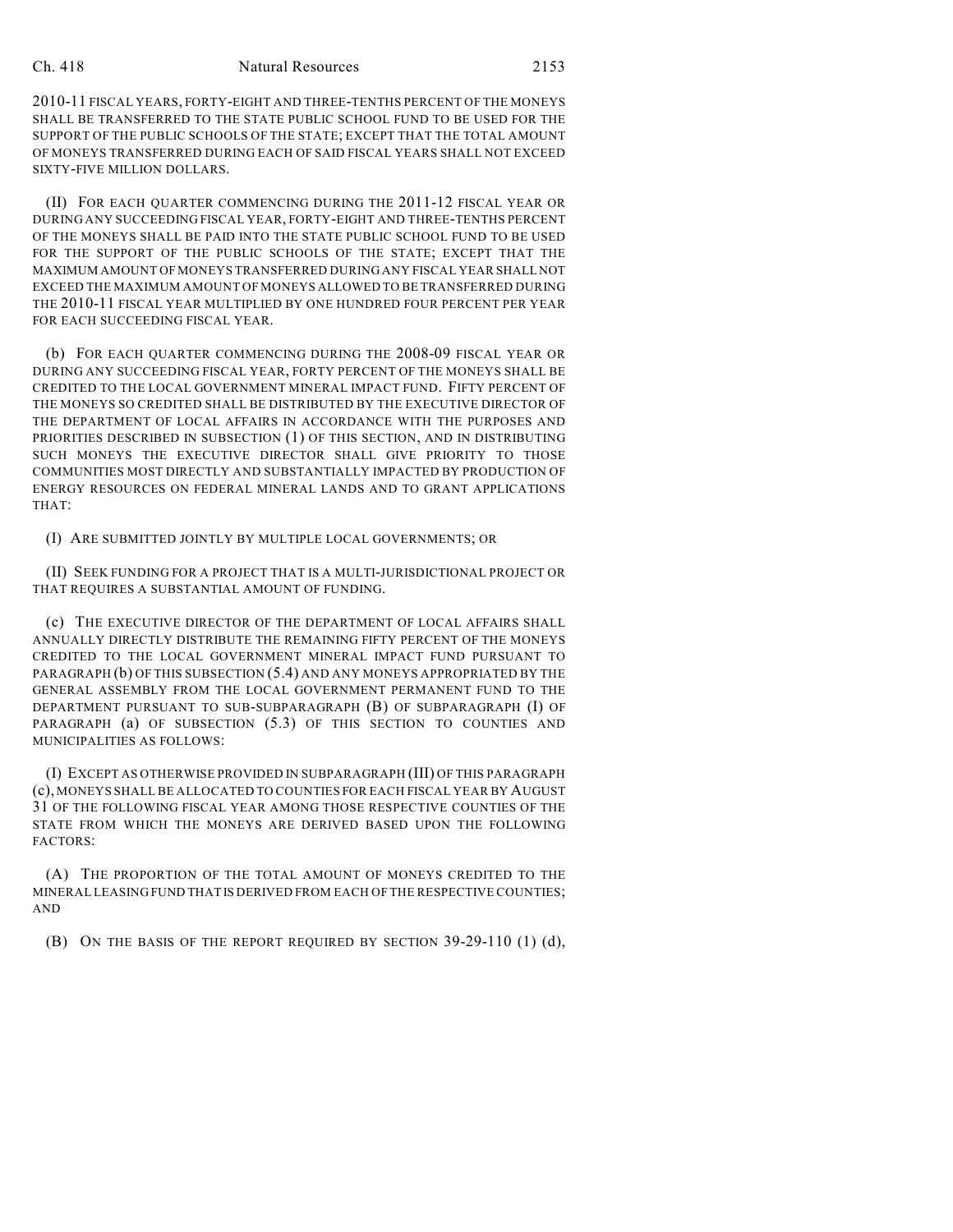#### Ch. 418 Natural Resources 2153

2010-11 FISCAL YEARS, FORTY-EIGHT AND THREE-TENTHS PERCENT OF THE MONEYS SHALL BE TRANSFERRED TO THE STATE PUBLIC SCHOOL FUND TO BE USED FOR THE SUPPORT OF THE PUBLIC SCHOOLS OF THE STATE; EXCEPT THAT THE TOTAL AMOUNT OF MONEYS TRANSFERRED DURING EACH OF SAID FISCAL YEARS SHALL NOT EXCEED SIXTY-FIVE MILLION DOLLARS.

(II) FOR EACH QUARTER COMMENCING DURING THE 2011-12 FISCAL YEAR OR DURING ANY SUCCEEDING FISCAL YEAR, FORTY-EIGHT AND THREE-TENTHS PERCENT OF THE MONEYS SHALL BE PAID INTO THE STATE PUBLIC SCHOOL FUND TO BE USED FOR THE SUPPORT OF THE PUBLIC SCHOOLS OF THE STATE; EXCEPT THAT THE MAXIMUM AMOUNT OF MONEYS TRANSFERRED DURING ANY FISCAL YEAR SHALL NOT EXCEED THE MAXIMUM AMOUNT OF MONEYS ALLOWED TO BE TRANSFERRED DURING THE 2010-11 FISCAL YEAR MULTIPLIED BY ONE HUNDRED FOUR PERCENT PER YEAR FOR EACH SUCCEEDING FISCAL YEAR.

(b) FOR EACH QUARTER COMMENCING DURING THE 2008-09 FISCAL YEAR OR DURING ANY SUCCEEDING FISCAL YEAR, FORTY PERCENT OF THE MONEYS SHALL BE CREDITED TO THE LOCAL GOVERNMENT MINERAL IMPACT FUND. FIFTY PERCENT OF THE MONEYS SO CREDITED SHALL BE DISTRIBUTED BY THE EXECUTIVE DIRECTOR OF THE DEPARTMENT OF LOCAL AFFAIRS IN ACCORDANCE WITH THE PURPOSES AND PRIORITIES DESCRIBED IN SUBSECTION (1) OF THIS SECTION, AND IN DISTRIBUTING SUCH MONEYS THE EXECUTIVE DIRECTOR SHALL GIVE PRIORITY TO THOSE COMMUNITIES MOST DIRECTLY AND SUBSTANTIALLY IMPACTED BY PRODUCTION OF ENERGY RESOURCES ON FEDERAL MINERAL LANDS AND TO GRANT APPLICATIONS THAT:

(I) ARE SUBMITTED JOINTLY BY MULTIPLE LOCAL GOVERNMENTS; OR

(II) SEEK FUNDING FOR A PROJECT THAT IS A MULTI-JURISDICTIONAL PROJECT OR THAT REQUIRES A SUBSTANTIAL AMOUNT OF FUNDING.

(c) THE EXECUTIVE DIRECTOR OF THE DEPARTMENT OF LOCAL AFFAIRS SHALL ANNUALLY DIRECTLY DISTRIBUTE THE REMAINING FIFTY PERCENT OF THE MONEYS CREDITED TO THE LOCAL GOVERNMENT MINERAL IMPACT FUND PURSUANT TO PARAGRAPH (b) OF THIS SUBSECTION (5.4) AND ANY MONEYS APPROPRIATED BY THE GENERAL ASSEMBLY FROM THE LOCAL GOVERNMENT PERMANENT FUND TO THE DEPARTMENT PURSUANT TO SUB-SUBPARAGRAPH (B) OF SUBPARAGRAPH (I) OF PARAGRAPH (a) OF SUBSECTION (5.3) OF THIS SECTION TO COUNTIES AND MUNICIPALITIES AS FOLLOWS:

(I) EXCEPT AS OTHERWISE PROVIDED IN SUBPARAGRAPH (III) OF THIS PARAGRAPH (c), MONEYS SHALL BE ALLOCATED TO COUNTIES FOR EACH FISCAL YEAR BY AUGUST 31 OF THE FOLLOWING FISCAL YEAR AMONG THOSE RESPECTIVE COUNTIES OF THE STATE FROM WHICH THE MONEYS ARE DERIVED BASED UPON THE FOLLOWING FACTORS:

(A) THE PROPORTION OF THE TOTAL AMOUNT OF MONEYS CREDITED TO THE MINERAL LEASING FUND THAT IS DERIVED FROM EACH OF THE RESPECTIVE COUNTIES; AND

(B) ON THE BASIS OF THE REPORT REQUIRED BY SECTION 39-29-110 (1) (d),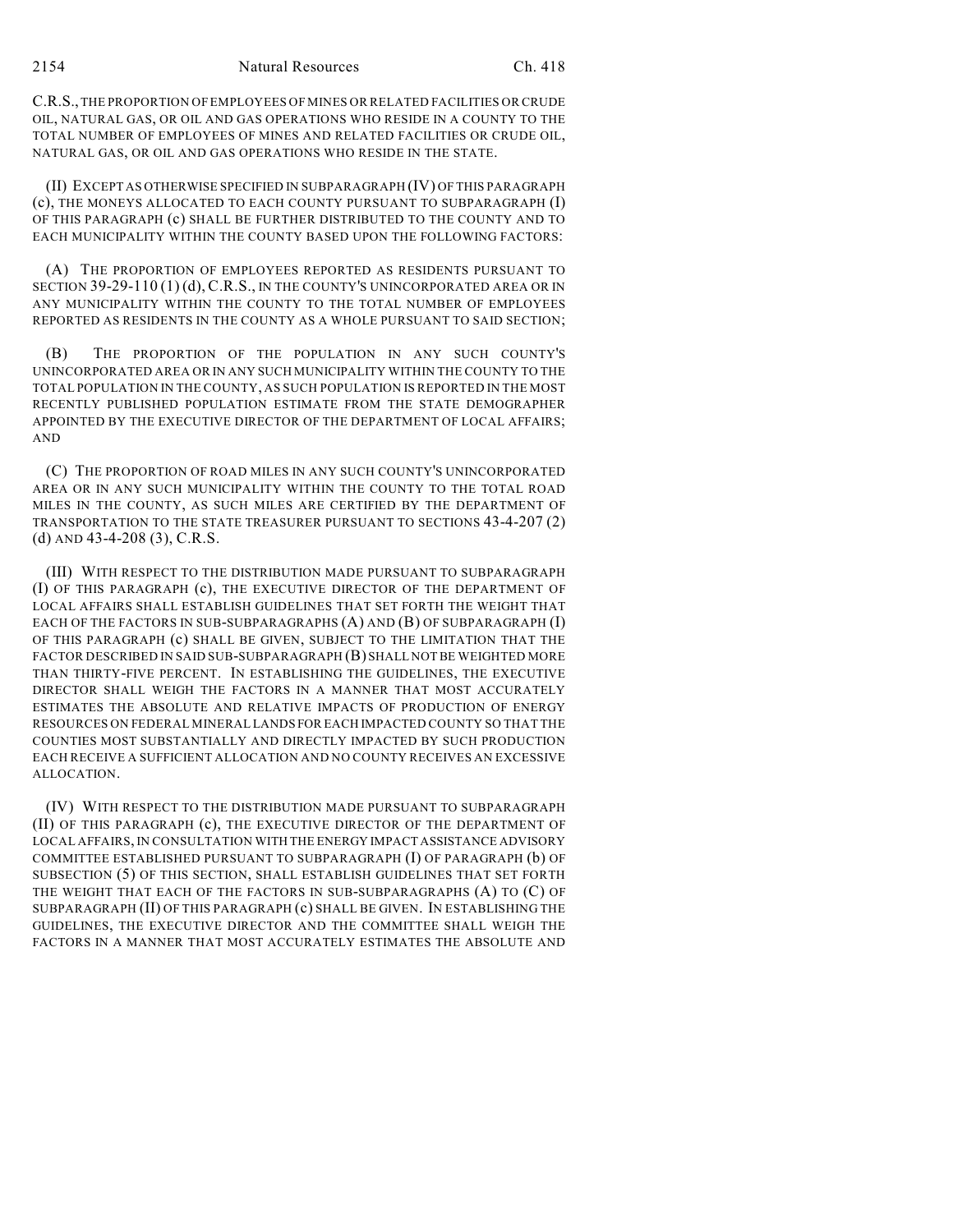C.R.S., THE PROPORTION OF EMPLOYEES OF MINES OR RELATED FACILITIES OR CRUDE OIL, NATURAL GAS, OR OIL AND GAS OPERATIONS WHO RESIDE IN A COUNTY TO THE TOTAL NUMBER OF EMPLOYEES OF MINES AND RELATED FACILITIES OR CRUDE OIL, NATURAL GAS, OR OIL AND GAS OPERATIONS WHO RESIDE IN THE STATE.

(II) EXCEPT AS OTHERWISE SPECIFIED IN SUBPARAGRAPH (IV) OF THIS PARAGRAPH (c), THE MONEYS ALLOCATED TO EACH COUNTY PURSUANT TO SUBPARAGRAPH (I) OF THIS PARAGRAPH (c) SHALL BE FURTHER DISTRIBUTED TO THE COUNTY AND TO EACH MUNICIPALITY WITHIN THE COUNTY BASED UPON THE FOLLOWING FACTORS:

(A) THE PROPORTION OF EMPLOYEES REPORTED AS RESIDENTS PURSUANT TO SECTION 39-29-110 (1) (d), C.R.S., IN THE COUNTY'S UNINCORPORATED AREA OR IN ANY MUNICIPALITY WITHIN THE COUNTY TO THE TOTAL NUMBER OF EMPLOYEES REPORTED AS RESIDENTS IN THE COUNTY AS A WHOLE PURSUANT TO SAID SECTION;

(B) THE PROPORTION OF THE POPULATION IN ANY SUCH COUNTY'S UNINCORPORATED AREA OR IN ANY SUCH MUNICIPALITY WITHIN THE COUNTY TO THE TOTAL POPULATION IN THE COUNTY, AS SUCH POPULATION IS REPORTED IN THE MOST RECENTLY PUBLISHED POPULATION ESTIMATE FROM THE STATE DEMOGRAPHER APPOINTED BY THE EXECUTIVE DIRECTOR OF THE DEPARTMENT OF LOCAL AFFAIRS; AND

(C) THE PROPORTION OF ROAD MILES IN ANY SUCH COUNTY'S UNINCORPORATED AREA OR IN ANY SUCH MUNICIPALITY WITHIN THE COUNTY TO THE TOTAL ROAD MILES IN THE COUNTY, AS SUCH MILES ARE CERTIFIED BY THE DEPARTMENT OF TRANSPORTATION TO THE STATE TREASURER PURSUANT TO SECTIONS 43-4-207 (2) (d) AND 43-4-208 (3), C.R.S.

(III) WITH RESPECT TO THE DISTRIBUTION MADE PURSUANT TO SUBPARAGRAPH (I) OF THIS PARAGRAPH (c), THE EXECUTIVE DIRECTOR OF THE DEPARTMENT OF LOCAL AFFAIRS SHALL ESTABLISH GUIDELINES THAT SET FORTH THE WEIGHT THAT EACH OF THE FACTORS IN SUB-SUBPARAGRAPHS (A) AND (B) OF SUBPARAGRAPH (I) OF THIS PARAGRAPH (c) SHALL BE GIVEN, SUBJECT TO THE LIMITATION THAT THE FACTOR DESCRIBED IN SAID SUB-SUBPARAGRAPH (B) SHALL NOT BE WEIGHTED MORE THAN THIRTY-FIVE PERCENT. IN ESTABLISHING THE GUIDELINES, THE EXECUTIVE DIRECTOR SHALL WEIGH THE FACTORS IN A MANNER THAT MOST ACCURATELY ESTIMATES THE ABSOLUTE AND RELATIVE IMPACTS OF PRODUCTION OF ENERGY RESOURCES ON FEDERAL MINERAL LANDS FOR EACH IMPACTED COUNTY SO THAT THE COUNTIES MOST SUBSTANTIALLY AND DIRECTLY IMPACTED BY SUCH PRODUCTION EACH RECEIVE A SUFFICIENT ALLOCATION AND NO COUNTY RECEIVES AN EXCESSIVE ALLOCATION.

(IV) WITH RESPECT TO THE DISTRIBUTION MADE PURSUANT TO SUBPARAGRAPH (II) OF THIS PARAGRAPH (c), THE EXECUTIVE DIRECTOR OF THE DEPARTMENT OF LOCAL AFFAIRS, IN CONSULTATION WITH THE ENERGY IMPACT ASSISTANCE ADVISORY COMMITTEE ESTABLISHED PURSUANT TO SUBPARAGRAPH (I) OF PARAGRAPH (b) OF SUBSECTION (5) OF THIS SECTION, SHALL ESTABLISH GUIDELINES THAT SET FORTH THE WEIGHT THAT EACH OF THE FACTORS IN SUB-SUBPARAGRAPHS (A) TO (C) OF SUBPARAGRAPH (II) OF THIS PARAGRAPH (c) SHALL BE GIVEN. IN ESTABLISHING THE GUIDELINES, THE EXECUTIVE DIRECTOR AND THE COMMITTEE SHALL WEIGH THE FACTORS IN A MANNER THAT MOST ACCURATELY ESTIMATES THE ABSOLUTE AND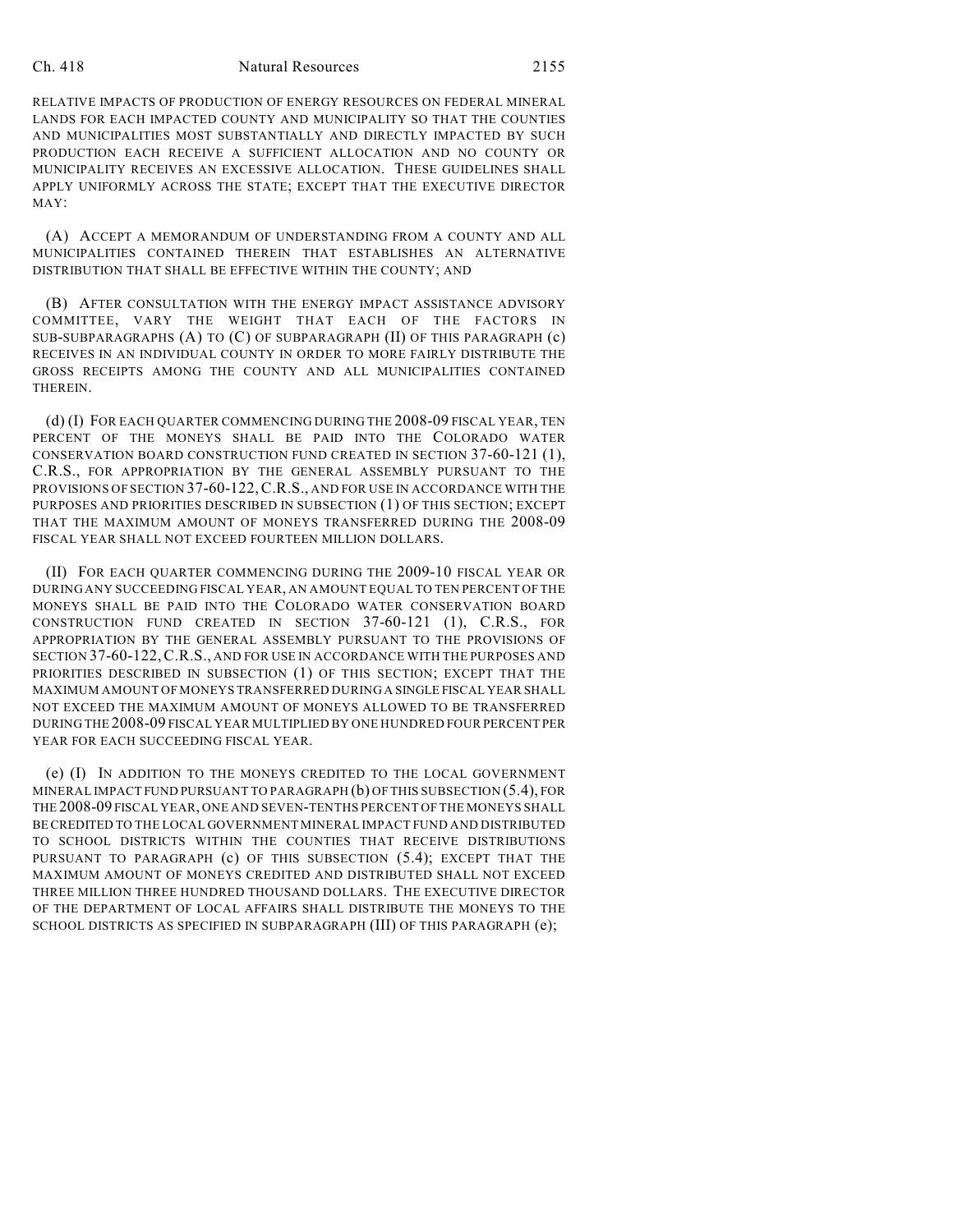#### Ch. 418 Natural Resources 2155

RELATIVE IMPACTS OF PRODUCTION OF ENERGY RESOURCES ON FEDERAL MINERAL LANDS FOR EACH IMPACTED COUNTY AND MUNICIPALITY SO THAT THE COUNTIES AND MUNICIPALITIES MOST SUBSTANTIALLY AND DIRECTLY IMPACTED BY SUCH PRODUCTION EACH RECEIVE A SUFFICIENT ALLOCATION AND NO COUNTY OR MUNICIPALITY RECEIVES AN EXCESSIVE ALLOCATION. THESE GUIDELINES SHALL APPLY UNIFORMLY ACROSS THE STATE; EXCEPT THAT THE EXECUTIVE DIRECTOR MAY:

(A) ACCEPT A MEMORANDUM OF UNDERSTANDING FROM A COUNTY AND ALL MUNICIPALITIES CONTAINED THEREIN THAT ESTABLISHES AN ALTERNATIVE DISTRIBUTION THAT SHALL BE EFFECTIVE WITHIN THE COUNTY; AND

(B) AFTER CONSULTATION WITH THE ENERGY IMPACT ASSISTANCE ADVISORY COMMITTEE, VARY THE WEIGHT THAT EACH OF THE FACTORS IN SUB-SUBPARAGRAPHS (A) TO (C) OF SUBPARAGRAPH (II) OF THIS PARAGRAPH (c) RECEIVES IN AN INDIVIDUAL COUNTY IN ORDER TO MORE FAIRLY DISTRIBUTE THE GROSS RECEIPTS AMONG THE COUNTY AND ALL MUNICIPALITIES CONTAINED THEREIN.

(d) (I) FOR EACH QUARTER COMMENCING DURING THE 2008-09 FISCAL YEAR, TEN PERCENT OF THE MONEYS SHALL BE PAID INTO THE COLORADO WATER CONSERVATION BOARD CONSTRUCTION FUND CREATED IN SECTION 37-60-121 (1), C.R.S., FOR APPROPRIATION BY THE GENERAL ASSEMBLY PURSUANT TO THE PROVISIONS OF SECTION 37-60-122,C.R.S., AND FOR USE IN ACCORDANCE WITH THE PURPOSES AND PRIORITIES DESCRIBED IN SUBSECTION (1) OF THIS SECTION; EXCEPT THAT THE MAXIMUM AMOUNT OF MONEYS TRANSFERRED DURING THE 2008-09 FISCAL YEAR SHALL NOT EXCEED FOURTEEN MILLION DOLLARS.

(II) FOR EACH QUARTER COMMENCING DURING THE 2009-10 FISCAL YEAR OR DURING ANY SUCCEEDING FISCAL YEAR, AN AMOUNT EQUAL TO TEN PERCENT OF THE MONEYS SHALL BE PAID INTO THE COLORADO WATER CONSERVATION BOARD CONSTRUCTION FUND CREATED IN SECTION 37-60-121 (1), C.R.S., FOR APPROPRIATION BY THE GENERAL ASSEMBLY PURSUANT TO THE PROVISIONS OF SECTION 37-60-122,C.R.S., AND FOR USE IN ACCORDANCE WITH THE PURPOSES AND PRIORITIES DESCRIBED IN SUBSECTION (1) OF THIS SECTION; EXCEPT THAT THE MAXIMUM AMOUNT OF MONEYS TRANSFERRED DURING A SINGLE FISCAL YEAR SHALL NOT EXCEED THE MAXIMUM AMOUNT OF MONEYS ALLOWED TO BE TRANSFERRED DURING THE 2008-09 FISCAL YEAR MULTIPLIED BY ONE HUNDRED FOUR PERCENT PER YEAR FOR EACH SUCCEEDING FISCAL YEAR.

(e) (I) IN ADDITION TO THE MONEYS CREDITED TO THE LOCAL GOVERNMENT MINERAL IMPACT FUND PURSUANT TO PARAGRAPH (b) OF THIS SUBSECTION (5.4), FOR THE 2008-09 FISCAL YEAR, ONE AND SEVEN-TENTHS PERCENT OF THE MONEYS SHALL BE CREDITED TO THE LOCAL GOVERNMENT MINERAL IMPACT FUND AND DISTRIBUTED TO SCHOOL DISTRICTS WITHIN THE COUNTIES THAT RECEIVE DISTRIBUTIONS PURSUANT TO PARAGRAPH (c) OF THIS SUBSECTION (5.4); EXCEPT THAT THE MAXIMUM AMOUNT OF MONEYS CREDITED AND DISTRIBUTED SHALL NOT EXCEED THREE MILLION THREE HUNDRED THOUSAND DOLLARS. THE EXECUTIVE DIRECTOR OF THE DEPARTMENT OF LOCAL AFFAIRS SHALL DISTRIBUTE THE MONEYS TO THE SCHOOL DISTRICTS AS SPECIFIED IN SUBPARAGRAPH (III) OF THIS PARAGRAPH (e);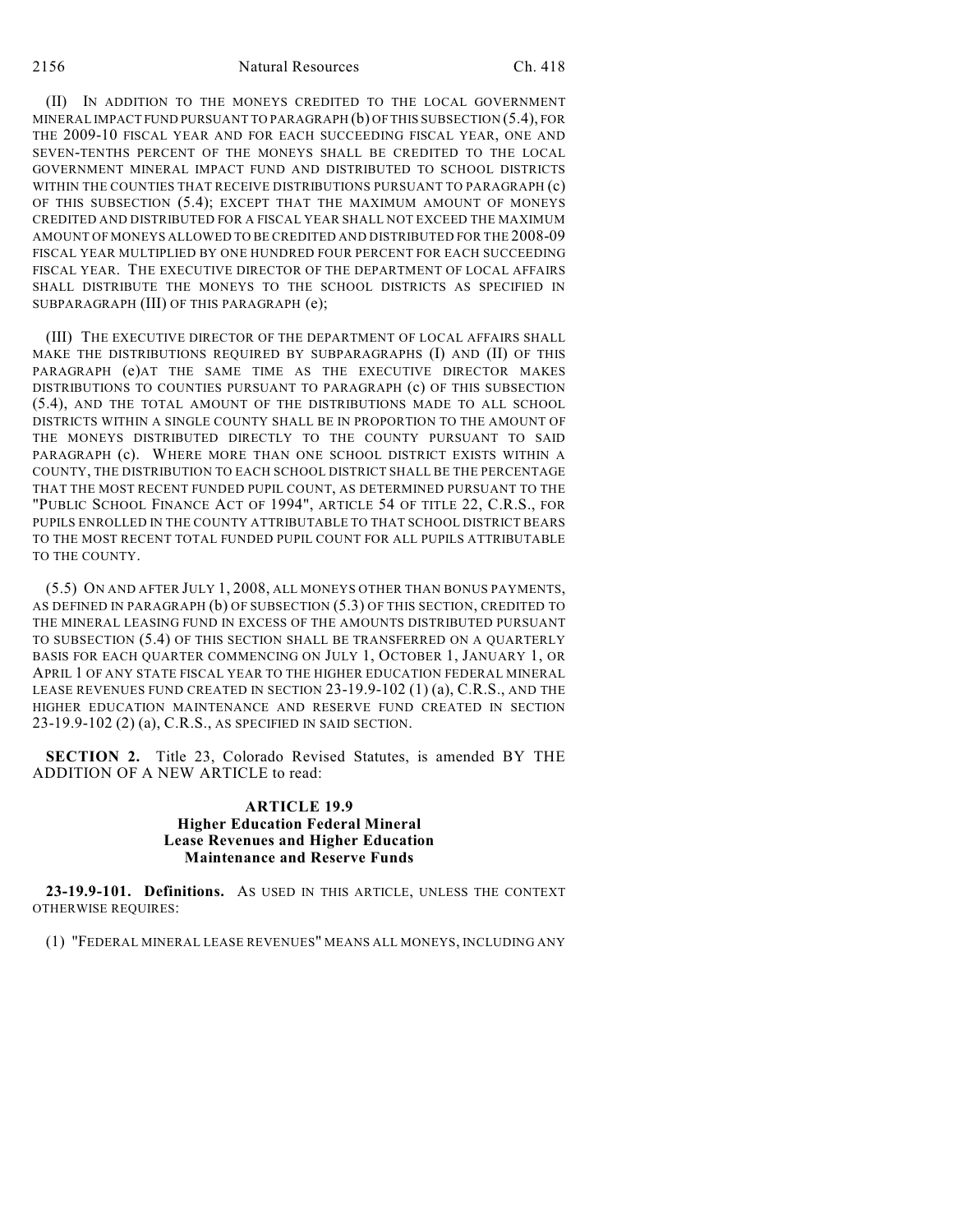(II) IN ADDITION TO THE MONEYS CREDITED TO THE LOCAL GOVERNMENT MINERAL IMPACT FUND PURSUANT TO PARAGRAPH (b) OF THIS SUBSECTION (5.4), FOR THE 2009-10 FISCAL YEAR AND FOR EACH SUCCEEDING FISCAL YEAR, ONE AND SEVEN-TENTHS PERCENT OF THE MONEYS SHALL BE CREDITED TO THE LOCAL GOVERNMENT MINERAL IMPACT FUND AND DISTRIBUTED TO SCHOOL DISTRICTS WITHIN THE COUNTIES THAT RECEIVE DISTRIBUTIONS PURSUANT TO PARAGRAPH (c) OF THIS SUBSECTION (5.4); EXCEPT THAT THE MAXIMUM AMOUNT OF MONEYS CREDITED AND DISTRIBUTED FOR A FISCAL YEAR SHALL NOT EXCEED THE MAXIMUM AMOUNT OF MONEYS ALLOWED TO BE CREDITED AND DISTRIBUTED FOR THE 2008-09 FISCAL YEAR MULTIPLIED BY ONE HUNDRED FOUR PERCENT FOR EACH SUCCEEDING FISCAL YEAR. THE EXECUTIVE DIRECTOR OF THE DEPARTMENT OF LOCAL AFFAIRS SHALL DISTRIBUTE THE MONEYS TO THE SCHOOL DISTRICTS AS SPECIFIED IN SUBPARAGRAPH (III) OF THIS PARAGRAPH (e);

(III) THE EXECUTIVE DIRECTOR OF THE DEPARTMENT OF LOCAL AFFAIRS SHALL MAKE THE DISTRIBUTIONS REQUIRED BY SUBPARAGRAPHS (I) AND (II) OF THIS PARAGRAPH (e)AT THE SAME TIME AS THE EXECUTIVE DIRECTOR MAKES DISTRIBUTIONS TO COUNTIES PURSUANT TO PARAGRAPH (c) OF THIS SUBSECTION (5.4), AND THE TOTAL AMOUNT OF THE DISTRIBUTIONS MADE TO ALL SCHOOL DISTRICTS WITHIN A SINGLE COUNTY SHALL BE IN PROPORTION TO THE AMOUNT OF THE MONEYS DISTRIBUTED DIRECTLY TO THE COUNTY PURSUANT TO SAID PARAGRAPH (c). WHERE MORE THAN ONE SCHOOL DISTRICT EXISTS WITHIN A COUNTY, THE DISTRIBUTION TO EACH SCHOOL DISTRICT SHALL BE THE PERCENTAGE THAT THE MOST RECENT FUNDED PUPIL COUNT, AS DETERMINED PURSUANT TO THE "PUBLIC SCHOOL FINANCE ACT OF 1994", ARTICLE 54 OF TITLE 22, C.R.S., FOR PUPILS ENROLLED IN THE COUNTY ATTRIBUTABLE TO THAT SCHOOL DISTRICT BEARS TO THE MOST RECENT TOTAL FUNDED PUPIL COUNT FOR ALL PUPILS ATTRIBUTABLE TO THE COUNTY.

(5.5) ON AND AFTER JULY 1, 2008, ALL MONEYS OTHER THAN BONUS PAYMENTS, AS DEFINED IN PARAGRAPH (b) OF SUBSECTION (5.3) OF THIS SECTION, CREDITED TO THE MINERAL LEASING FUND IN EXCESS OF THE AMOUNTS DISTRIBUTED PURSUANT TO SUBSECTION (5.4) OF THIS SECTION SHALL BE TRANSFERRED ON A QUARTERLY BASIS FOR EACH QUARTER COMMENCING ON JULY 1, OCTOBER 1, JANUARY 1, OR APRIL 1 OF ANY STATE FISCAL YEAR TO THE HIGHER EDUCATION FEDERAL MINERAL LEASE REVENUES FUND CREATED IN SECTION 23-19.9-102 (1) (a), C.R.S., AND THE HIGHER EDUCATION MAINTENANCE AND RESERVE FUND CREATED IN SECTION 23-19.9-102 (2) (a), C.R.S., AS SPECIFIED IN SAID SECTION.

**SECTION 2.** Title 23, Colorado Revised Statutes, is amended BY THE ADDITION OF A NEW ARTICLE to read:

### **ARTICLE 19.9 Higher Education Federal Mineral Lease Revenues and Higher Education Maintenance and Reserve Funds**

**23-19.9-101. Definitions.** AS USED IN THIS ARTICLE, UNLESS THE CONTEXT OTHERWISE REQUIRES:

(1) "FEDERAL MINERAL LEASE REVENUES" MEANS ALL MONEYS, INCLUDING ANY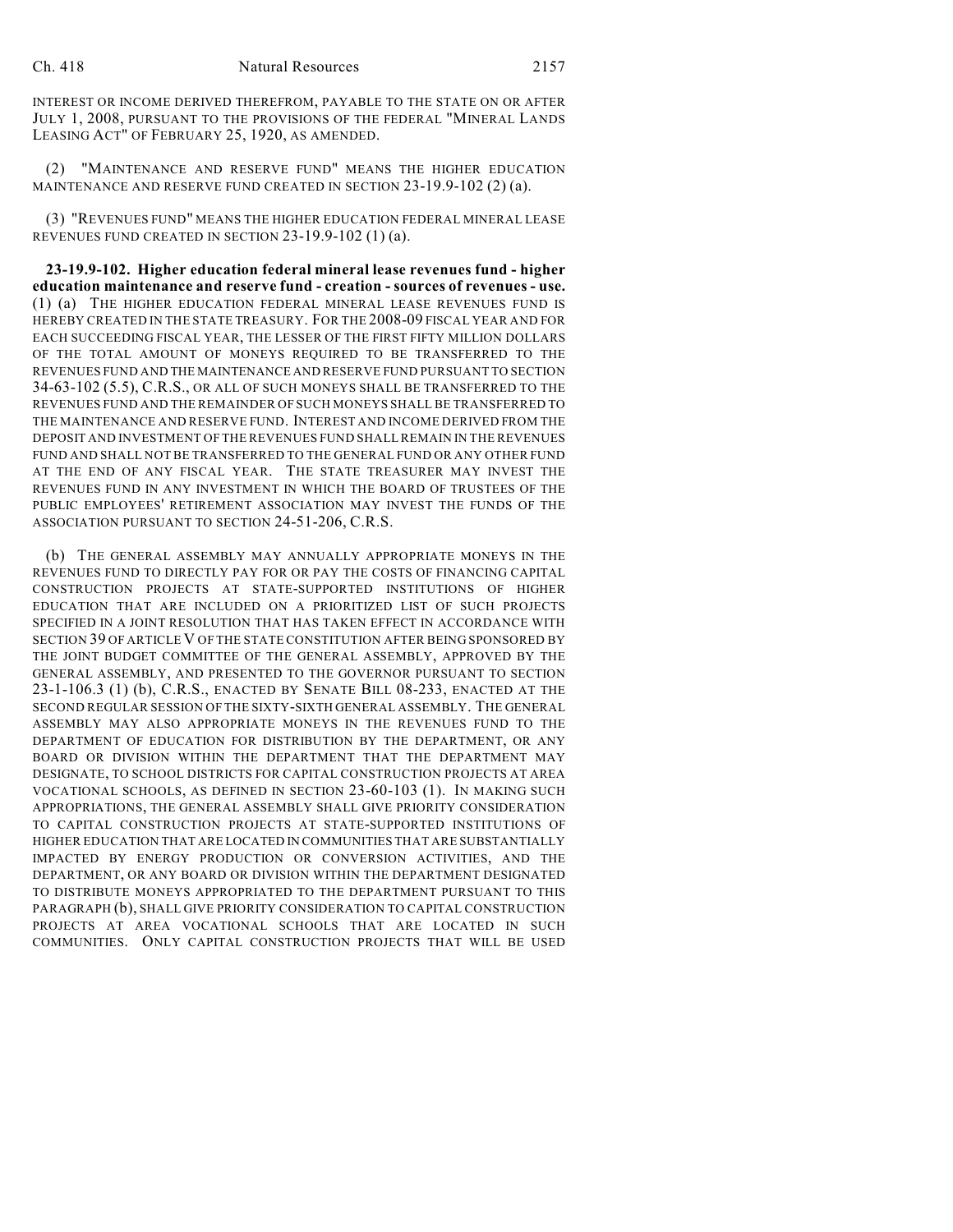INTEREST OR INCOME DERIVED THEREFROM, PAYABLE TO THE STATE ON OR AFTER JULY 1, 2008, PURSUANT TO THE PROVISIONS OF THE FEDERAL "MINERAL LANDS LEASING ACT" OF FEBRUARY 25, 1920, AS AMENDED.

(2) "MAINTENANCE AND RESERVE FUND" MEANS THE HIGHER EDUCATION MAINTENANCE AND RESERVE FUND CREATED IN SECTION 23-19.9-102 (2) (a).

(3) "REVENUES FUND" MEANS THE HIGHER EDUCATION FEDERAL MINERAL LEASE REVENUES FUND CREATED IN SECTION 23-19.9-102 (1) (a).

**23-19.9-102. Higher education federal mineral lease revenues fund - higher education maintenance and reserve fund - creation - sources of revenues - use.** (1) (a) THE HIGHER EDUCATION FEDERAL MINERAL LEASE REVENUES FUND IS HEREBY CREATED IN THE STATE TREASURY. FOR THE 2008-09 FISCAL YEAR AND FOR EACH SUCCEEDING FISCAL YEAR, THE LESSER OF THE FIRST FIFTY MILLION DOLLARS OF THE TOTAL AMOUNT OF MONEYS REQUIRED TO BE TRANSFERRED TO THE REVENUES FUND AND THE MAINTENANCE AND RESERVE FUND PURSUANT TO SECTION 34-63-102 (5.5), C.R.S., OR ALL OF SUCH MONEYS SHALL BE TRANSFERRED TO THE REVENUES FUND AND THE REMAINDER OF SUCH MONEYS SHALL BE TRANSFERRED TO THE MAINTENANCE AND RESERVE FUND. INTEREST AND INCOME DERIVED FROM THE DEPOSIT AND INVESTMENT OF THE REVENUES FUND SHALL REMAIN IN THE REVENUES FUND AND SHALL NOT BE TRANSFERRED TO THE GENERAL FUND OR ANY OTHER FUND AT THE END OF ANY FISCAL YEAR. THE STATE TREASURER MAY INVEST THE REVENUES FUND IN ANY INVESTMENT IN WHICH THE BOARD OF TRUSTEES OF THE PUBLIC EMPLOYEES' RETIREMENT ASSOCIATION MAY INVEST THE FUNDS OF THE ASSOCIATION PURSUANT TO SECTION 24-51-206, C.R.S.

(b) THE GENERAL ASSEMBLY MAY ANNUALLY APPROPRIATE MONEYS IN THE REVENUES FUND TO DIRECTLY PAY FOR OR PAY THE COSTS OF FINANCING CAPITAL CONSTRUCTION PROJECTS AT STATE-SUPPORTED INSTITUTIONS OF HIGHER EDUCATION THAT ARE INCLUDED ON A PRIORITIZED LIST OF SUCH PROJECTS SPECIFIED IN A JOINT RESOLUTION THAT HAS TAKEN EFFECT IN ACCORDANCE WITH SECTION 39 OF ARTICLE V OF THE STATE CONSTITUTION AFTER BEING SPONSORED BY THE JOINT BUDGET COMMITTEE OF THE GENERAL ASSEMBLY, APPROVED BY THE GENERAL ASSEMBLY, AND PRESENTED TO THE GOVERNOR PURSUANT TO SECTION 23-1-106.3 (1) (b), C.R.S., ENACTED BY SENATE BILL 08-233, ENACTED AT THE SECOND REGULAR SESSION OF THE SIXTY-SIXTH GENERAL ASSEMBLY. THE GENERAL ASSEMBLY MAY ALSO APPROPRIATE MONEYS IN THE REVENUES FUND TO THE DEPARTMENT OF EDUCATION FOR DISTRIBUTION BY THE DEPARTMENT, OR ANY BOARD OR DIVISION WITHIN THE DEPARTMENT THAT THE DEPARTMENT MAY DESIGNATE, TO SCHOOL DISTRICTS FOR CAPITAL CONSTRUCTION PROJECTS AT AREA VOCATIONAL SCHOOLS, AS DEFINED IN SECTION 23-60-103 (1). IN MAKING SUCH APPROPRIATIONS, THE GENERAL ASSEMBLY SHALL GIVE PRIORITY CONSIDERATION TO CAPITAL CONSTRUCTION PROJECTS AT STATE-SUPPORTED INSTITUTIONS OF HIGHER EDUCATION THAT ARE LOCATED IN COMMUNITIES THAT ARE SUBSTANTIALLY IMPACTED BY ENERGY PRODUCTION OR CONVERSION ACTIVITIES, AND THE DEPARTMENT, OR ANY BOARD OR DIVISION WITHIN THE DEPARTMENT DESIGNATED TO DISTRIBUTE MONEYS APPROPRIATED TO THE DEPARTMENT PURSUANT TO THIS PARAGRAPH (b), SHALL GIVE PRIORITY CONSIDERATION TO CAPITAL CONSTRUCTION PROJECTS AT AREA VOCATIONAL SCHOOLS THAT ARE LOCATED IN SUCH COMMUNITIES. ONLY CAPITAL CONSTRUCTION PROJECTS THAT WILL BE USED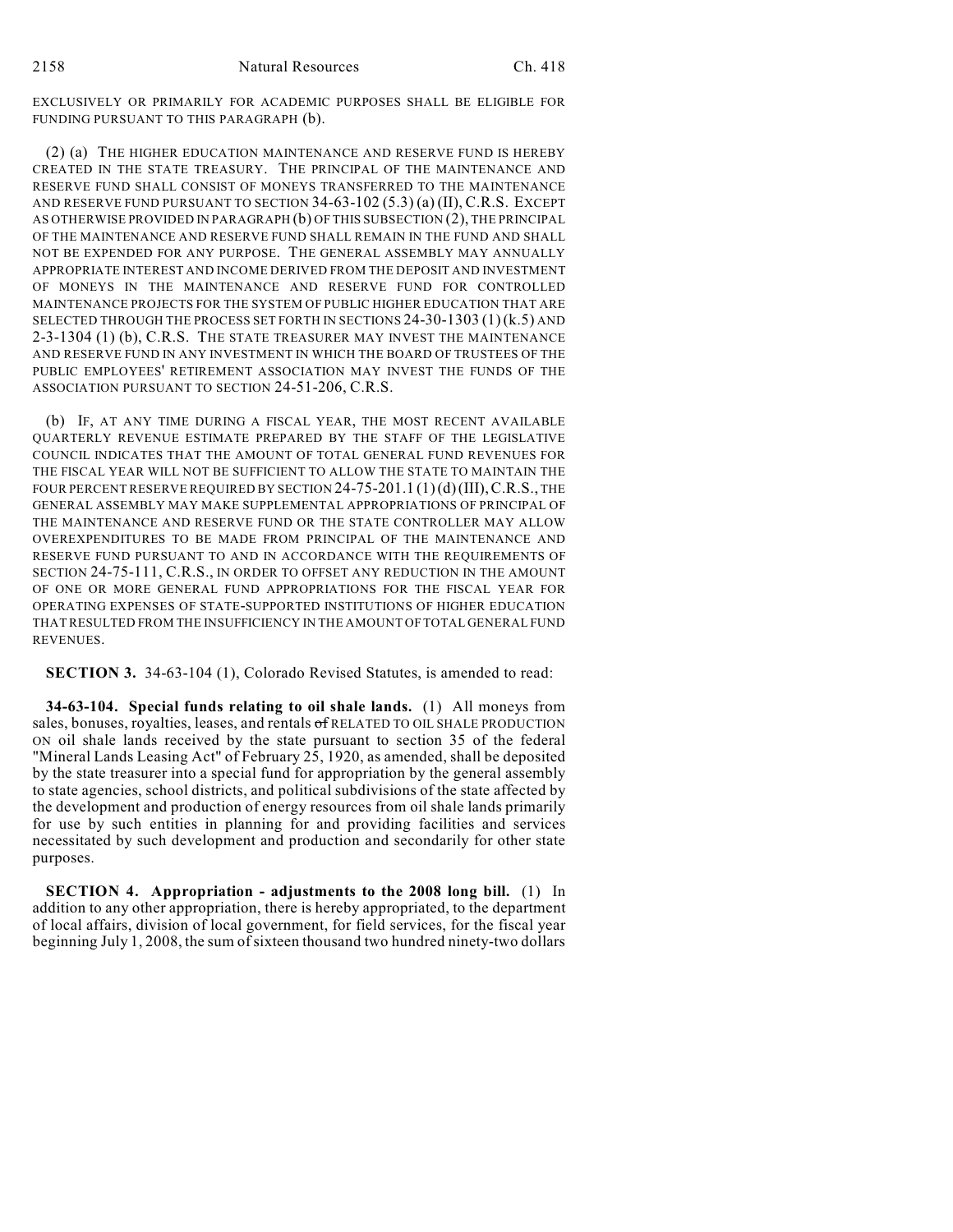EXCLUSIVELY OR PRIMARILY FOR ACADEMIC PURPOSES SHALL BE ELIGIBLE FOR FUNDING PURSUANT TO THIS PARAGRAPH (b).

(2) (a) THE HIGHER EDUCATION MAINTENANCE AND RESERVE FUND IS HEREBY CREATED IN THE STATE TREASURY. THE PRINCIPAL OF THE MAINTENANCE AND RESERVE FUND SHALL CONSIST OF MONEYS TRANSFERRED TO THE MAINTENANCE AND RESERVE FUND PURSUANT TO SECTION 34-63-102 (5.3) (a) (II), C.R.S. EXCEPT AS OTHERWISE PROVIDED IN PARAGRAPH (b) OF THIS SUBSECTION (2), THE PRINCIPAL OF THE MAINTENANCE AND RESERVE FUND SHALL REMAIN IN THE FUND AND SHALL NOT BE EXPENDED FOR ANY PURPOSE. THE GENERAL ASSEMBLY MAY ANNUALLY APPROPRIATE INTEREST AND INCOME DERIVED FROM THE DEPOSIT AND INVESTMENT OF MONEYS IN THE MAINTENANCE AND RESERVE FUND FOR CONTROLLED MAINTENANCE PROJECTS FOR THE SYSTEM OF PUBLIC HIGHER EDUCATION THAT ARE SELECTED THROUGH THE PROCESS SET FORTH IN SECTIONS 24-30-1303 (1)(k.5) AND 2-3-1304 (1) (b), C.R.S. THE STATE TREASURER MAY INVEST THE MAINTENANCE AND RESERVE FUND IN ANY INVESTMENT IN WHICH THE BOARD OF TRUSTEES OF THE PUBLIC EMPLOYEES' RETIREMENT ASSOCIATION MAY INVEST THE FUNDS OF THE ASSOCIATION PURSUANT TO SECTION 24-51-206, C.R.S.

(b) IF, AT ANY TIME DURING A FISCAL YEAR, THE MOST RECENT AVAILABLE QUARTERLY REVENUE ESTIMATE PREPARED BY THE STAFF OF THE LEGISLATIVE COUNCIL INDICATES THAT THE AMOUNT OF TOTAL GENERAL FUND REVENUES FOR THE FISCAL YEAR WILL NOT BE SUFFICIENT TO ALLOW THE STATE TO MAINTAIN THE FOUR PERCENT RESERVE REQUIRED BY SECTION 24-75-201.1 (1)(d)(III), C.R.S., THE GENERAL ASSEMBLY MAY MAKE SUPPLEMENTAL APPROPRIATIONS OF PRINCIPAL OF THE MAINTENANCE AND RESERVE FUND OR THE STATE CONTROLLER MAY ALLOW OVEREXPENDITURES TO BE MADE FROM PRINCIPAL OF THE MAINTENANCE AND RESERVE FUND PURSUANT TO AND IN ACCORDANCE WITH THE REQUIREMENTS OF SECTION 24-75-111, C.R.S., IN ORDER TO OFFSET ANY REDUCTION IN THE AMOUNT OF ONE OR MORE GENERAL FUND APPROPRIATIONS FOR THE FISCAL YEAR FOR OPERATING EXPENSES OF STATE-SUPPORTED INSTITUTIONS OF HIGHER EDUCATION THAT RESULTED FROM THE INSUFFICIENCY IN THE AMOUNT OF TOTAL GENERAL FUND REVENUES.

**SECTION 3.** 34-63-104 (1), Colorado Revised Statutes, is amended to read:

**34-63-104. Special funds relating to oil shale lands.** (1) All moneys from sales, bonuses, royalties, leases, and rentals  $\sigma$  RELATED TO OIL SHALE PRODUCTION ON oil shale lands received by the state pursuant to section 35 of the federal "Mineral Lands Leasing Act" of February 25, 1920, as amended, shall be deposited by the state treasurer into a special fund for appropriation by the general assembly to state agencies, school districts, and political subdivisions of the state affected by the development and production of energy resources from oil shale lands primarily for use by such entities in planning for and providing facilities and services necessitated by such development and production and secondarily for other state purposes.

**SECTION 4. Appropriation - adjustments to the 2008 long bill.** (1) In addition to any other appropriation, there is hereby appropriated, to the department of local affairs, division of local government, for field services, for the fiscal year beginning July 1, 2008, the sum of sixteen thousand two hundred ninety-two dollars